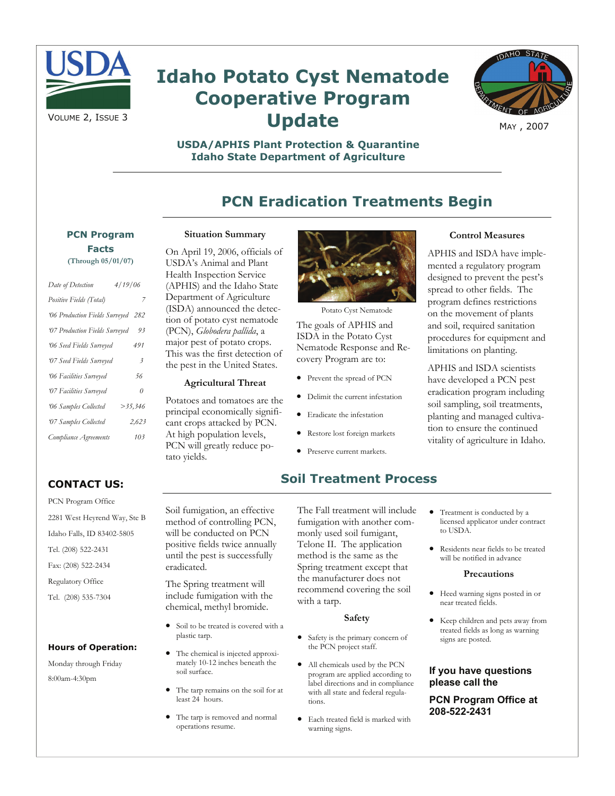

# **Idaho Potato Cyst Nematode Cooperative Program Update**



MAY , 2007

### **USDA/APHIS Plant Protection & Quarantine Idaho State Department of Agriculture**

# **PCN Eradication Treatments Begin**

# **PCN Program Facts**

| Date of Detection                  | 4/19/06        |
|------------------------------------|----------------|
| Positive Fields (Total)            | 7              |
| '06 Production Fields Surveyed 282 |                |
| '07 Production Fields Surveyed     | 93             |
| '06 Seed Fields Surveyed           | 491            |
| 07 Seed Fields Surveyed            | $\mathfrak{Z}$ |
| <b>06 Facilities Surveyed</b>      | 56             |
| 07 Facilities Surveyed             | 0              |
| '06 Samples Collected              | $>$ 35,346     |
| 07 Samples Collected               | 2,623          |
| Compliance Agreements              | 103            |

#### **Situation Summary**

On April 19, 2006, officials of USDA's Animal and Plant Health Inspection Service (APHIS) and the Idaho State Department of Agriculture (ISDA) announced the detection of potato cyst nematode (PCN), *Globodera pallida*, a major pest of potato crops. This was the first detection of the pest in the United States.

#### **Agricultural Threat**

Potatoes and tomatoes are the principal economically significant crops attacked by PCN. At high population levels, PCN will greatly reduce potato yields.



Potato Cyst Nematode

The goals of APHIS and ISDA in the Potato Cyst Nematode Response and Recovery Program are to:

- Prevent the spread of PCN
- Delimit the current infestation
- Eradicate the infestation
- Restore lost foreign markets
- Preserve current markets.

## **Soil Treatment Process**

The Fall treatment will include fumigation with another commonly used soil fumigant, Telone II. The application method is the same as the Spring treatment except that the manufacturer does not recommend covering the soil with a tarp.

#### **Safety**

- Safety is the primary concern of the PCN project staff.
- All chemicals used by the PCN program are applied according to label directions and in compliance with all state and federal regulations.
- Each treated field is marked with warning signs.

• Treatment is conducted by a licensed applicator under contract to USDA.

**Control Measures**  APHIS and ISDA have implemented a regulatory program designed to prevent the pest's spread to other fields. The program defines restrictions on the movement of plants and soil, required sanitation procedures for equipment and limitations on planting.

APHIS and ISDA scientists have developed a PCN pest eradication program including soil sampling, soil treatments, planting and managed cultivation to ensure the continued vitality of agriculture in Idaho.

• Residents near fields to be treated will be notified in advance

#### **Precautions**

- Heed warning signs posted in or near treated fields.
- Keep children and pets away from treated fields as long as warning signs are posted.

#### **If you have questions please call the**

**PCN Program Office at 208-522-2431** 

## **CONTACT US:**

PCN Program Office 2281 West Heyrend Way, Ste B Idaho Falls, ID 83402-5805 Tel. (208) 522-2431 Fax: (208) 522-2434 Regulatory Office Tel. (208) 535-7304

#### **Hours of Operation:**

Monday through Friday 8:00am-4:30pm

Soil fumigation, an effective method of controlling PCN, will be conducted on PCN positive fields twice annually until the pest is successfully eradicated.

The Spring treatment will include fumigation with the chemical, methyl bromide.

- Soil to be treated is covered with a plastic tarp.
- The chemical is injected approximately 10-12 inches beneath the soil surface.
- The tarp remains on the soil for at least 24 hours.
- The tarp is removed and normal operations resume.

**(Through 05/01/07)**